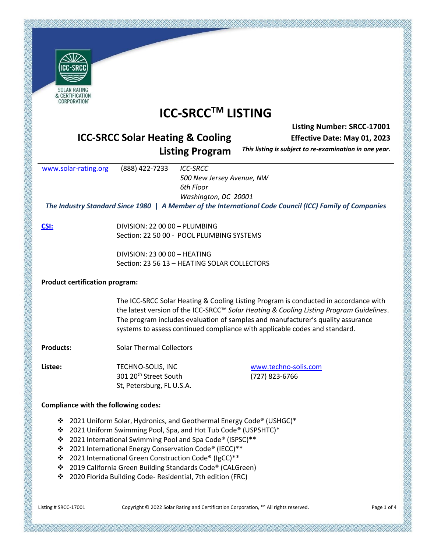| CC-SRC                                 |
|----------------------------------------|
| <b>SOLAR RATING</b><br>& CERTIFICATION |

# **ICC-SRCCTM LISTING**

### **Listing Number: SRCC-17001**

*The Industry Standard Since 1980* **|** *A Member of the International Code Council (ICC) Family of Companies*

# **ICC-SRCC Solar Heating & Cooling**

**Effective Date: May 01, 2023** 

**Listing Program** 

*This listing is subject to re-examination in one year.*

| www.solar-rating.org | (888) 422-7233 | ICC-SRCC                                                                                   |
|----------------------|----------------|--------------------------------------------------------------------------------------------|
|                      |                | 500 New Jersey Avenue, NW                                                                  |
|                      |                | 6th Floor                                                                                  |
|                      |                | Washington, DC 20001                                                                       |
|                      |                | The Industry Standard Since 1980   A Member of the International Code Council (ICC) Family |
|                      |                |                                                                                            |

**[CSI:](http://www.masterformat.com/revisions/)** DIVISION: 22 00 00 – PLUMBING Section: 22 50 00 - POOL PLUMBING SYSTEMS

> DIVISION: 23 00 00 – HEATING Section: 23 56 13 – HEATING SOLAR COLLECTORS

# **Product certification program:**

The ICC-SRCC Solar Heating & Cooling Listing Program is conducted in accordance with the latest version of the ICC-SRCC™ *Solar Heating & Cooling Listing Program Guidelines*. The program includes evaluation of samples and manufacturer's quality assurance systems to assess continued compliance with applicable codes and standard.

**Products:** Solar Thermal Collectors

**Listee:** TECHNO-SOLIS, INC 301 20<sup>th</sup> Street South St, Petersburg, FL U.S.A. [www.techno-solis.com](http://www.techno-solis.com/) (727) 823-6766

# **Compliance with the following codes:**

- ❖ 2021 Uniform Solar, Hydronics, and Geothermal Energy Code® (USHGC)\*
- ❖ 2021 Uniform Swimming Pool, Spa, and Hot Tub Code® (USPSHTC)\*
- ❖ 2021 International Swimming Pool and Spa Code® (ISPSC)\*\*
- ❖ 2021 International Energy Conservation Code® (IECC)\*\*
- ❖ 2021 International Green Construction Code® (IgCC)\*\*
- ❖ 2019 California Green Building Standards Code® (CALGreen)
- ❖ 2020 Florida Building Code- Residential, 7th edition (FRC)

Listing # SRCC-17001 Copyright © 2022 Solar Rating and Certification Corporation, ™ All rights reserved. Page 1 of 4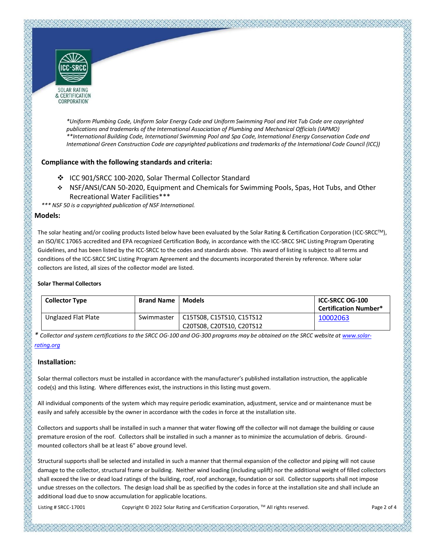

& CERTIFICATION CORPORATION'

> *\*Uniform Plumbing Code, Uniform Solar Energy Code and Uniform Swimming Pool and Hot Tub Code are copyrighted publications and trademarks of the International Association of Plumbing and Mechanical Officials (IAPMO) \*\*International Building Code, International Swimming Pool and Spa Code, International Energy Conservation Code and International Green Construction Code are copyrighted publications and trademarks of the International Code Council (ICC))*

#### **Compliance with the following standards and criteria:**

- ❖ ICC 901/SRCC 100-2020, Solar Thermal Collector Standard
- ❖ NSF/ANSI/CAN 50-2020, Equipment and Chemicals for Swimming Pools, Spas, Hot Tubs, and Other Recreational Water Facilities\*\*\*

*\*\*\* NSF 50 is a copyrighted publication of NSF International.*

#### **Models:**

The solar heating and/or cooling products listed below have been evaluated by the Solar Rating & Certification Corporation (ICC-SRCCTM), an ISO/IEC 17065 accredited and EPA recognized Certification Body, in accordance with the ICC-SRCC SHC Listing Program Operating Guidelines, and has been listed by the ICC-SRCC to the codes and standards above. This award of listing is subject to all terms and conditions of the ICC-SRCC SHC Listing Program Agreement and the documents incorporated therein by reference. Where solar collectors are listed, all sizes of the collector model are listed.

#### **Solar Thermal Collectors**

| <b>Collector Type</b> | <b>Brand Name</b> | <b>Models</b>             | ICC-SRCC OG-100<br><b>Certification Number*</b> |
|-----------------------|-------------------|---------------------------|-------------------------------------------------|
| Unglazed Flat Plate   | Swimmaster        | C15TS08, C15TS10, C15TS12 | 10002063                                        |
|                       |                   | C20TS08, C20TS10, C20TS12 |                                                 |

*\* Collector and system certifications to the SRCC OG-100 and OG-300 programs may be obtained on the SRCC website a[t www.solar](http://www.solar-rating.org/)[rating.org](http://www.solar-rating.org/)*

#### **Installation:**

Solar thermal collectors must be installed in accordance with the manufacturer's published installation instruction, the applicable code(s) and this listing. Where differences exist, the instructions in this listing must govern.

All individual components of the system which may require periodic examination, adjustment, service and or maintenance must be easily and safely accessible by the owner in accordance with the codes in force at the installation site.

Collectors and supports shall be installed in such a manner that water flowing off the collector will not damage the building or cause premature erosion of the roof. Collectors shall be installed in such a manner as to minimize the accumulation of debris. Groundmounted collectors shall be at least 6" above ground level.

Structural supports shall be selected and installed in such a manner that thermal expansion of the collector and piping will not cause damage to the collector, structural frame or building. Neither wind loading (including uplift) nor the additional weight of filled collectors shall exceed the live or dead load ratings of the building, roof, roof anchorage, foundation or soil. Collector supports shall not impose undue stresses on the collectors. The design load shall be as specified by the codes in force at the installation site and shall include an additional load due to snow accumulation for applicable locations.

Listing # SRCC-17001 Copyright © 2022 Solar Rating and Certification Corporation, TM All rights reserved. Page 2 of 4

アブスズブスズズズズズズズズズズズズズズ かいじょう こうきょう じょうこう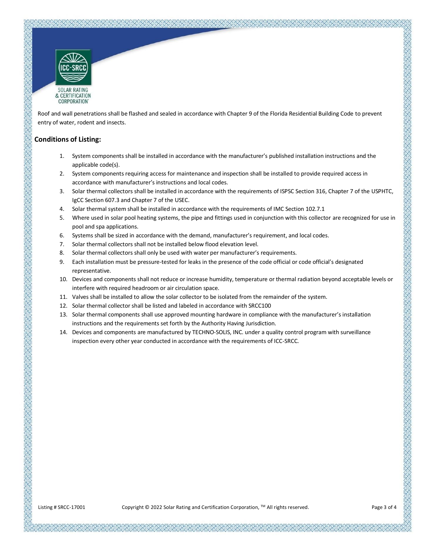

Roof and wall penetrations shall be flashed and sealed in accordance with Chapter 9 of the Florida Residential Building Code to prevent entry of water, rodent and insects.

#### **Conditions of Listing:**

- 1. System components shall be installed in accordance with the manufacturer's published installation instructions and the applicable code(s).
- 2. System components requiring access for maintenance and inspection shall be installed to provide required access in accordance with manufacturer's instructions and local codes.
- 3. Solar thermal collectors shall be installed in accordance with the requirements of ISPSC Section 316, Chapter 7 of the USPHTC, IgCC Section 607.3 and Chapter 7 of the USEC.
- 4. Solar thermal system shall be installed in accordance with the requirements of IMC Section 102.7.1
- 5. Where used in solar pool heating systems, the pipe and fittings used in conjunction with this collector are recognized for use in pool and spa applications.
- 6. Systems shall be sized in accordance with the demand, manufacturer's requirement, and local codes.
- 7. Solar thermal collectors shall not be installed below flood elevation level.
- 8. Solar thermal collectors shall only be used with water per manufacturer's requirements.
- 9. Each installation must be pressure-tested for leaks in the presence of the code official or code official's designated representative.
- 10. Devices and components shall not reduce or increase humidity, temperature or thermal radiation beyond acceptable levels or interfere with required headroom or air circulation space.
- 11. Valves shall be installed to allow the solar collector to be isolated from the remainder of the system.
- 12. Solar thermal collector shall be listed and labeled in accordance with SRCC100
- 13. Solar thermal components shall use approved mounting hardware in compliance with the manufacturer's installation instructions and the requirements set forth by the Authority Having Jurisdiction.
- 14. Devices and components are manufactured by TECHNO-SOLIS, INC. under a quality control program with surveillance inspection every other year conducted in accordance with the requirements of ICC-SRCC.